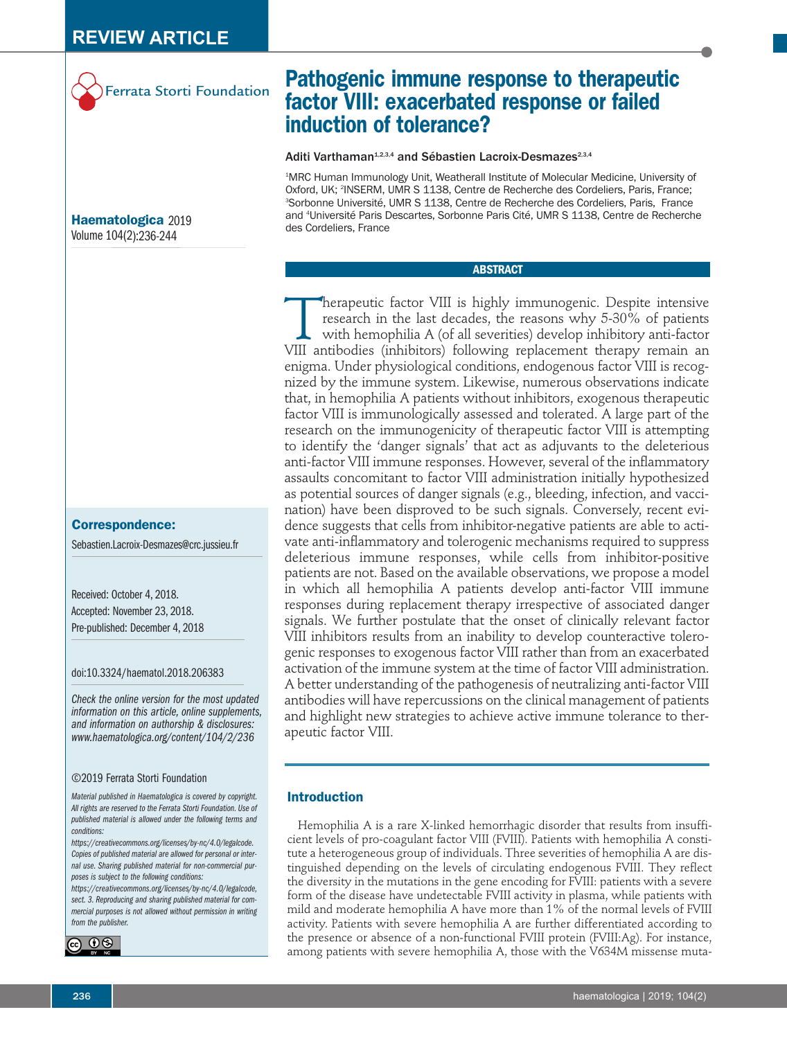

**Haematologica** 2019 Volume 104(2):236-244

# **Correspondence:**

Sebastien.Lacroix-Desmazes@crc.jussieu.fr

Received: October 4, 2018. Accepted: November 23, 2018. Pre-published: December 4, 2018

doi:10.3324/haematol.2018.206383

*Check the online version for the most updated information on this article, online supplements, and information on authorship & disclosures: www.haematologica.org/content/104/2/236*

#### ©2019 Ferrata Storti Foundation

*Material published in Haematologica is covered by copyright. All rights are reserved to the Ferrata Storti Foundation. Use of published material is allowed under the following terms and conditions:* 

*https://creativecommons.org/licenses/by-nc/4.0/legalcode. Copies of published material are allowed for personal or internal use. Sharing published material for non-commercial purposes is subject to the following conditions:* 

*https://creativecommons.org/licenses/by-nc/4.0/legalcode, sect. 3. Reproducing and sharing published material for commercial purposes is not allowed without permission in writing from the publisher.*



# **Pathogenic immune response to therapeutic factor VIII: exacerbated response or failed induction of tolerance?**

Aditi Varthaman<sup>1,2,3,4</sup> and Sébastien Lacroix-Desmazes<sup>2,3,4</sup>

1 MRC Human Immunology Unit, Weatherall Institute of Molecular Medicine, University of Oxford, UK; <sup>2</sup>INSERM, UMR S 1138, Centre de Recherche des Cordeliers, Paris, France; 3 Sorbonne Université, UMR S 1138, Centre de Recherche des Cordeliers, Paris, France and 4 Université Paris Descartes, Sorbonne Paris Cité, UMR S 1138, Centre de Recherche des Cordeliers, France

# **ABSTRACT**

Therapeutic factor VIII is highly immunogenic. Despite intensive<br>research in the last decades, the reasons why 5-30% of patients<br>with hemophilia A (of all severities) develop inhibitory anti-factor<br>VIII antibodies (inhibit research in the last decades, the reasons why 5-30% of patients with hemophilia A (of all severities) develop inhibitory anti-factor VIII antibodies (inhibitors) following replacement therapy remain an enigma. Under physiological conditions, endogenous factor VIII is recognized by the immune system. Likewise, numerous observations indicate that, in hemophilia A patients without inhibitors, exogenous therapeutic factor VIII is immunologically assessed and tolerated. A large part of the research on the immunogenicity of therapeutic factor VIII is attempting to identify the 'danger signals' that act as adjuvants to the deleterious anti-factor VIII immune responses. However, several of the inflammatory assaults concomitant to factor VIII administration initially hypothesized as potential sources of danger signals (e.g., bleeding, infection, and vaccination) have been disproved to be such signals. Conversely, recent evidence suggests that cells from inhibitor-negative patients are able to activate anti-inflammatory and tolerogenic mechanisms required to suppress deleterious immune responses, while cells from inhibitor-positive patients are not. Based on the available observations, we propose a model in which all hemophilia A patients develop anti-factor VIII immune responses during replacement therapy irrespective of associated danger signals. We further postulate that the onset of clinically relevant factor VIII inhibitors results from an inability to develop counteractive tolerogenic responses to exogenous factor VIII rather than from an exacerbated activation of the immune system at the time of factor VIII administration. A better understanding of the pathogenesis of neutralizing anti-factor VIII antibodies will have repercussions on the clinical management of patients and highlight new strategies to achieve active immune tolerance to therapeutic factor VIII.

# **Introduction**

Hemophilia A is a rare X-linked hemorrhagic disorder that results from insufficient levels of pro-coagulant factor VIII (FVIII). Patients with hemophilia A constitute a heterogeneous group of individuals. Three severities of hemophilia A are distinguished depending on the levels of circulating endogenous FVIII. They reflect the diversity in the mutations in the gene encoding for FVIII: patients with a severe form of the disease have undetectable FVIII activity in plasma, while patients with mild and moderate hemophilia A have more than 1% of the normal levels of FVIII activity. Patients with severe hemophilia A are further differentiated according to the presence or absence of a non-functional FVIII protein (FVIII:Ag). For instance, among patients with severe hemophilia A, those with the V634M missense muta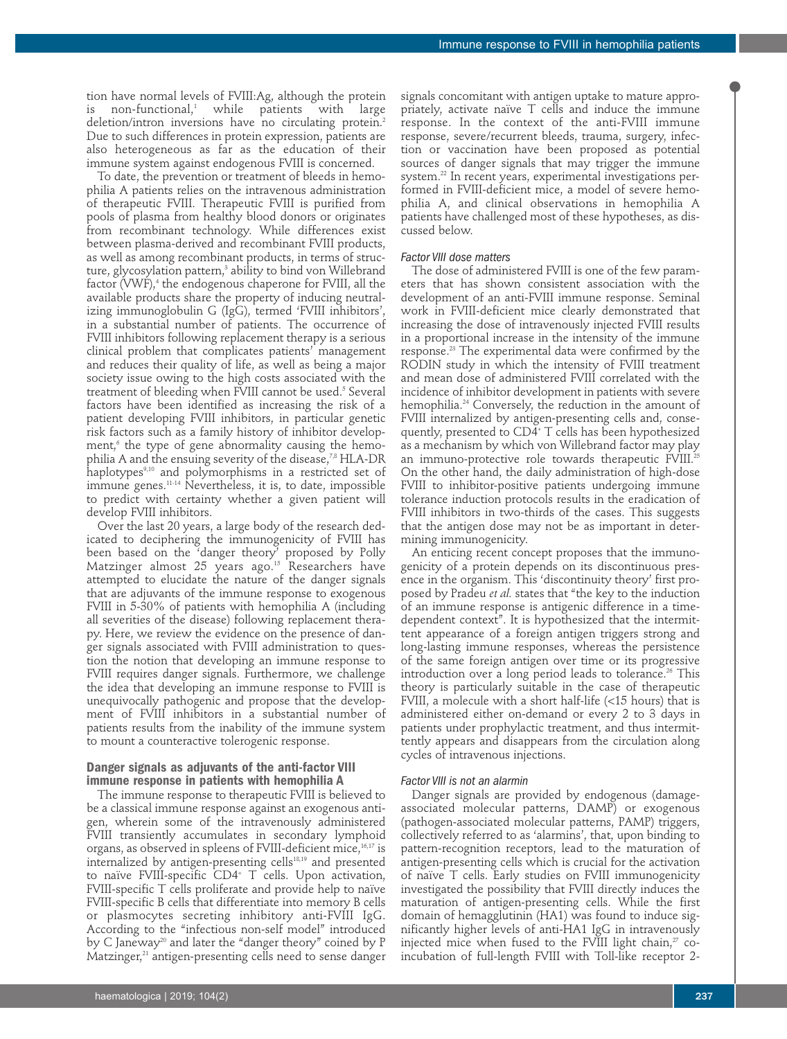tion have normal levels of FVIII:Ag, although the protein  $non-functional,$ <sup>1</sup> while patients with large deletion/intron inversions have no circulating protein.<sup>2</sup> Due to such differences in protein expression, patients are also heterogeneous as far as the education of their immune system against endogenous FVIII is concerned.

To date, the prevention or treatment of bleeds in hemophilia A patients relies on the intravenous administration of therapeutic FVIII. Therapeutic FVIII is purified from pools of plasma from healthy blood donors or originates from recombinant technology. While differences exist between plasma-derived and recombinant FVIII products, as well as among recombinant products, in terms of structure, glycosylation pattern,<sup>3</sup> ability to bind von Willebrand factor (VWF),<sup>4</sup> the endogenous chaperone for FVIII, all the available products share the property of inducing neutralizing immunoglobulin G (IgG), termed 'FVIII inhibitors', in a substantial number of patients. The occurrence of FVIII inhibitors following replacement therapy is a serious clinical problem that complicates patients' management and reduces their quality of life, as well as being a major society issue owing to the high costs associated with the treatment of bleeding when FVIII cannot be used.<sup>5</sup> Several factors have been identified as increasing the risk of a patient developing FVIII inhibitors, in particular genetic risk factors such as a family history of inhibitor development, $6$  the type of gene abnormality causing the hemophilia A and the ensuing severity of the disease,<sup>7,8</sup> HLA-DR haplotypes<sup>9,10</sup> and polymorphisms in a restricted set of immune genes.11-14 Nevertheless, it is, to date, impossible to predict with certainty whether a given patient will develop FVIII inhibitors.

Over the last 20 years, a large body of the research dedicated to deciphering the immunogenicity of FVIII has been based on the 'danger theory' proposed by Polly Matzinger almost 25 years ago.15 Researchers have attempted to elucidate the nature of the danger signals that are adjuvants of the immune response to exogenous FVIII in 5-30% of patients with hemophilia A (including all severities of the disease) following replacement therapy. Here, we review the evidence on the presence of danger signals associated with FVIII administration to question the notion that developing an immune response to FVIII requires danger signals. Furthermore, we challenge the idea that developing an immune response to FVIII is unequivocally pathogenic and propose that the development of FVIII inhibitors in a substantial number of patients results from the inability of the immune system to mount a counteractive tolerogenic response.

## **Danger signals as adjuvants of the anti-factor VIII immune response in patients with hemophilia A**

The immune response to therapeutic FVIII is believed to be a classical immune response against an exogenous antigen, wherein some of the intravenously administered FVIII transiently accumulates in secondary lymphoid organs, as observed in spleens of FVIII-deficient mice,16,17 is internalized by antigen-presenting cells<sup>18,19</sup> and presented to naïve FVIII-specific CD4+ T cells. Upon activation, FVIII-specific T cells proliferate and provide help to naïve FVIII-specific B cells that differentiate into memory B cells or plasmocytes secreting inhibitory anti-FVIII IgG. According to the "infectious non-self model" introduced by C Janeway<sup>20</sup> and later the "danger theory" coined by P Matzinger, $21$  antigen-presenting cells need to sense danger signals concomitant with antigen uptake to mature appropriately, activate naïve T cells and induce the immune response. In the context of the anti-FVIII immune response, severe/recurrent bleeds, trauma, surgery, infection or vaccination have been proposed as potential sources of danger signals that may trigger the immune system.22 In recent years, experimental investigations performed in FVIII-deficient mice, a model of severe hemophilia A, and clinical observations in hemophilia A patients have challenged most of these hypotheses, as discussed below.

## *Factor VIII dose matters*

The dose of administered FVIII is one of the few parameters that has shown consistent association with the development of an anti-FVIII immune response. Seminal work in FVIII-deficient mice clearly demonstrated that increasing the dose of intravenously injected FVIII results in a proportional increase in the intensity of the immune response.23 The experimental data were confirmed by the RODIN study in which the intensity of FVIII treatment and mean dose of administered FVIII correlated with the incidence of inhibitor development in patients with severe hemophilia.24 Conversely, the reduction in the amount of FVIII internalized by antigen-presenting cells and, consequently, presented to CD4+ T cells has been hypothesized as a mechanism by which von Willebrand factor may play an immuno-protective role towards therapeutic FVIII.<sup>25</sup> On the other hand, the daily administration of high-dose FVIII to inhibitor-positive patients undergoing immune tolerance induction protocols results in the eradication of FVIII inhibitors in two-thirds of the cases. This suggests that the antigen dose may not be as important in determining immunogenicity.

An enticing recent concept proposes that the immunogenicity of a protein depends on its discontinuous presence in the organism. This 'discontinuity theory' first proposed by Pradeu *et al.* states that "the key to the induction of an immune response is antigenic difference in a timedependent context". It is hypothesized that the intermittent appearance of a foreign antigen triggers strong and long-lasting immune responses, whereas the persistence of the same foreign antigen over time or its progressive introduction over a long period leads to tolerance.<sup>26</sup> This theory is particularly suitable in the case of therapeutic FVIII, a molecule with a short half-life (<15 hours) that is administered either on-demand or every 2 to 3 days in patients under prophylactic treatment, and thus intermittently appears and disappears from the circulation along cycles of intravenous injections.

#### *Factor VIII is not an alarmin*

Danger signals are provided by endogenous (damageassociated molecular patterns, DAMP) or exogenous (pathogen-associated molecular patterns, PAMP) triggers, collectively referred to as 'alarmins', that, upon binding to pattern-recognition receptors, lead to the maturation of antigen-presenting cells which is crucial for the activation of naïve T cells. Early studies on FVIII immunogenicity investigated the possibility that FVIII directly induces the maturation of antigen-presenting cells. While the first domain of hemagglutinin (HA1) was found to induce significantly higher levels of anti-HA1 IgG in intravenously injected mice when fused to the FVIII light chain, $27$  coincubation of full-length FVIII with Toll-like receptor 2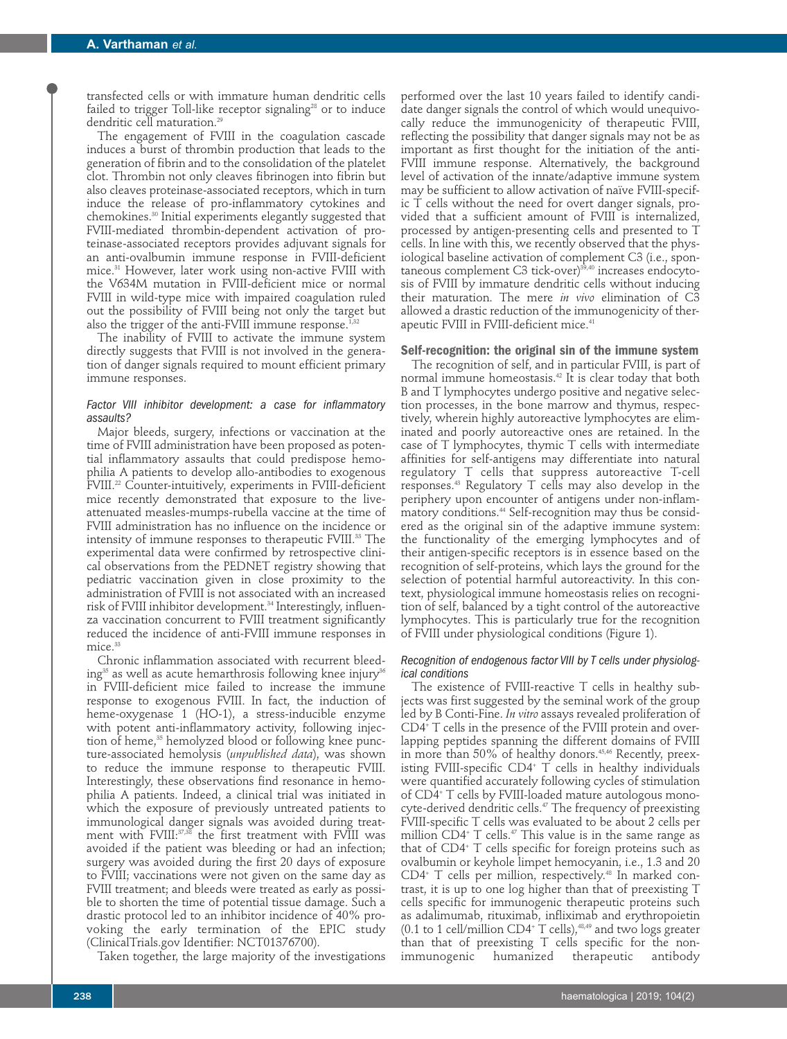transfected cells or with immature human dendritic cells failed to trigger Toll-like receptor signaling<sup>28</sup> or to induce dendritic cell maturation.<sup>29</sup>

The engagement of FVIII in the coagulation cascade induces a burst of thrombin production that leads to the generation of fibrin and to the consolidation of the platelet clot. Thrombin not only cleaves fibrinogen into fibrin but also cleaves proteinase-associated receptors, which in turn induce the release of pro-inflammatory cytokines and chemokines.30 Initial experiments elegantly suggested that FVIII-mediated thrombin-dependent activation of proteinase-associated receptors provides adjuvant signals for an anti-ovalbumin immune response in FVIII-deficient mice.31 However, later work using non-active FVIII with the V634M mutation in FVIII-deficient mice or normal FVIII in wild-type mice with impaired coagulation ruled out the possibility of FVIII being not only the target but also the trigger of the anti-FVIII immune response.<sup>1,32</sup>

The inability of FVIII to activate the immune system directly suggests that FVIII is not involved in the generation of danger signals required to mount efficient primary immune responses.

### *Factor VIII inhibitor development: a case for inflammatory assaults?*

Major bleeds, surgery, infections or vaccination at the time of FVIII administration have been proposed as potential inflammatory assaults that could predispose hemophilia A patients to develop allo-antibodies to exogenous FVIII.22 Counter-intuitively, experiments in FVIII-deficient mice recently demonstrated that exposure to the liveattenuated measles-mumps-rubella vaccine at the time of FVIII administration has no influence on the incidence or intensity of immune responses to therapeutic FVIII.<sup>33</sup> The experimental data were confirmed by retrospective clinical observations from the PEDNET registry showing that pediatric vaccination given in close proximity to the administration of FVIII is not associated with an increased risk of FVIII inhibitor development.<sup>34</sup> Interestingly, influenza vaccination concurrent to FVIII treatment significantly reduced the incidence of anti-FVIII immune responses in mice.<sup>33</sup>

Chronic inflammation associated with recurrent bleeding $35$  as well as acute hemarthrosis following knee injury $36$ in FVIII-deficient mice failed to increase the immune response to exogenous FVIII. In fact, the induction of heme-oxygenase 1 (HO-1), a stress-inducible enzyme with potent anti-inflammatory activity, following injection of heme,<sup>35</sup> hemolyzed blood or following knee puncture-associated hemolysis (*unpublished data*), was shown to reduce the immune response to therapeutic FVIII. Interestingly, these observations find resonance in hemophilia A patients. Indeed, a clinical trial was initiated in which the exposure of previously untreated patients to immunological danger signals was avoided during treatment with FVIII:<sup>37,38</sup> the first treatment with FVIII was avoided if the patient was bleeding or had an infection; surgery was avoided during the first 20 days of exposure to FVIII; vaccinations were not given on the same day as FVIII treatment; and bleeds were treated as early as possible to shorten the time of potential tissue damage. Such a drastic protocol led to an inhibitor incidence of 40% provoking the early termination of the EPIC study (ClinicalTrials.gov Identifier: NCT01376700).

Taken together, the large majority of the investigations

performed over the last 10 years failed to identify candidate danger signals the control of which would unequivocally reduce the immunogenicity of therapeutic FVIII, reflecting the possibility that danger signals may not be as important as first thought for the initiation of the anti-FVIII immune response. Alternatively, the background level of activation of the innate/adaptive immune system may be sufficient to allow activation of naïve FVIII-specific T cells without the need for overt danger signals, provided that a sufficient amount of FVIII is internalized, processed by antigen-presenting cells and presented to T cells. In line with this, we recently observed that the physiological baseline activation of complement C3 (i.e., spontaneous complement C3 tick-over)<sup>39,40</sup> increases endocytosis of FVIII by immature dendritic cells without inducing their maturation. The mere *in vivo* elimination of C3 allowed a drastic reduction of the immunogenicity of therapeutic FVIII in FVIII-deficient mice.<sup>41</sup>

# **Self-recognition: the original sin of the immune system**

The recognition of self, and in particular FVIII, is part of normal immune homeostasis.<sup>42</sup> It is clear today that both B and T lymphocytes undergo positive and negative selection processes, in the bone marrow and thymus, respectively, wherein highly autoreactive lymphocytes are eliminated and poorly autoreactive ones are retained. In the case of T lymphocytes, thymic T cells with intermediate affinities for self-antigens may differentiate into natural regulatory T cells that suppress autoreactive T-cell responses.43 Regulatory T cells may also develop in the periphery upon encounter of antigens under non-inflammatory conditions.44 Self-recognition may thus be considered as the original sin of the adaptive immune system: the functionality of the emerging lymphocytes and of their antigen-specific receptors is in essence based on the recognition of self-proteins, which lays the ground for the selection of potential harmful autoreactivity. In this context, physiological immune homeostasis relies on recognition of self, balanced by a tight control of the autoreactive lymphocytes. This is particularly true for the recognition of FVIII under physiological conditions (Figure 1).

## *Recognition of endogenous factor VIII by T cells under physiological conditions*

The existence of FVIII-reactive T cells in healthy subjects was first suggested by the seminal work of the group led by B Conti-Fine. *In vitro* assays revealed proliferation of CD4+ T cells in the presence of the FVIII protein and overlapping peptides spanning the different domains of FVIII in more than 50% of healthy donors.<sup>45,46</sup> Recently, preexisting FVIII-specific  $CD4^{\circ}$  T cells in healthy individuals were quantified accurately following cycles of stimulation of CD4+ T cells by FVIII-loaded mature autologous monocyte-derived dendritic cells.<sup>47</sup> The frequency of preexisting FVIII-specific T cells was evaluated to be about 2 cells per million CD4<sup>+</sup> T cells.<sup>47</sup> This value is in the same range as that of  $CD4$ <sup>+</sup> T cells specific for foreign proteins such as ovalbumin or keyhole limpet hemocyanin, i.e., 1.3 and 20  $CD4$ <sup>+</sup> T cells per million, respectively.<sup>48</sup> In marked contrast, it is up to one log higher than that of preexisting T cells specific for immunogenic therapeutic proteins such as adalimumab, rituximab, infliximab and erythropoietin (0.1 to 1 cell/million CD4<sup>+</sup> T cells), $48,49$  and two logs greater than that of preexisting T cells specific for the nonimmunogenic humanized therapeutic antibody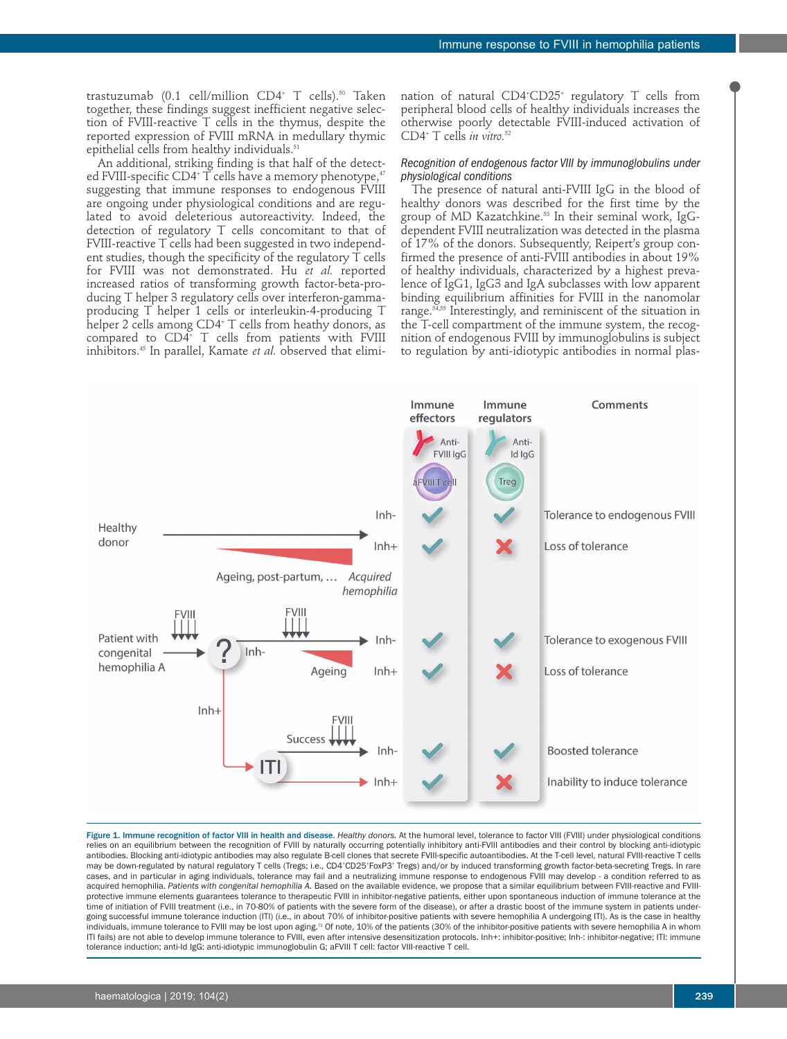trastuzumab (0.1 cell/million CD4+ T cells).<sup>50</sup> Taken together, these findings suggest inefficient negative selection of FVIII-reactive T cells in the thymus, despite the reported expression of FVIII mRNA in medullary thymic epithelial cells from healthy individuals.<sup>51</sup>

An additional, striking finding is that half of the detected FVIII-specific CD4<sup>+</sup> T cells have a memory phenotype,<sup>47</sup> suggesting that immune responses to endogenous FVIII are ongoing under physiological conditions and are regulated to avoid deleterious autoreactivity. Indeed, the detection of regulatory T cells concomitant to that of FVIII-reactive T cells had been suggested in two independent studies, though the specificity of the regulatory T cells for FVIII was not demonstrated. Hu *et al.* reported increased ratios of transforming growth factor-beta-producing T helper 3 regulatory cells over interferon-gammaproducing T helper 1 cells or interleukin-4-producing T helper 2 cells among CD4+ T cells from heathy donors, as compared to CD4+ T cells from patients with FVIII inhibitors.45 In parallel, Kamate *et al.* observed that elimination of natural CD4+ CD25+ regulatory T cells from peripheral blood cells of healthy individuals increases the otherwise poorly detectable FVIII-induced activation of CD4+ T cells *in vitro.*<sup>52</sup>

### *Recognition of endogenous factor VIII by immunoglobulins under physiological conditions*

The presence of natural anti-FVIII IgG in the blood of healthy donors was described for the first time by the group of MD Kazatchkine.<sup>53</sup> In their seminal work, IgGdependent FVIII neutralization was detected in the plasma of 17% of the donors. Subsequently, Reipert's group confirmed the presence of anti-FVIII antibodies in about 19% of healthy individuals, characterized by a highest prevalence of IgG1, IgG3 and IgA subclasses with low apparent binding equilibrium affinities for FVIII in the nanomolar range.<sup>54,55</sup> Interestingly, and reminiscent of the situation in the T-cell compartment of the immune system, the recognition of endogenous FVIII by immunoglobulins is subject to regulation by anti-idiotypic antibodies in normal plas-



Figure 1. Immune recognition of factor VIII in health and disease. *Healthy donors.* At the humoral level, tolerance to factor VIII (FVIII) under physiological conditions relies on an equilibrium between the recognition of FVIII by naturally occurring potentially inhibitory anti-FVIII antibodies and their control by blocking anti-idiotypic antibodies. Blocking anti-idiotypic antibodies may also regulate B-cell clones that secrete FVIII-specific autoantibodies. At the T-cell level, natural FVIII-reactive T cells may be down-regulated by natural regulatory T cells (Tregs; i.e., CD4·CD25·FoxP3\* Tregs) and/or by induced transforming growth factor-beta-secreting Tregs. In rare cases, and in particular in aging individuals, tolerance may fail and a neutralizing immune response to endogenous FVIII may develop - a condition referred to as acquired hemophilia. Patients with congenital hemophilia A. Based on the available evidence, we propose that a similar equilibrium between FVIII-reactive and FVIIIprotective immune elements guarantees tolerance to therapeutic FVIII in inhibitor-negative patients, either upon spontaneous induction of immune tolerance at the time of initiation of FVIII treatment (i.e., in 70-80% of patients with the severe form of the disease), or after a drastic boost of the immune system in patients undergoing successful immune tolerance induction (ITI) (i.e., in about 70% of inhibitor-positive patients with severe hemophilia A undergoing ITI). As is the case in healthy individuals, immune tolerance to FVIII may be lost upon aging.<sup>71</sup> Of note, 10% of the patients (30% of the inhibitor-positive patients with severe hemophilia A in whom ITI fails) are not able to develop immune tolerance to FVIII, even after intensive desensitization protocols. Inh+: inhibitor-positive; Inh-: inhibitor-negative; ITI: immune tolerance induction; anti-Id IgG: anti-idiotypic immunoglobulin G; aFVIII T cell: factor VIII-reactive T cell.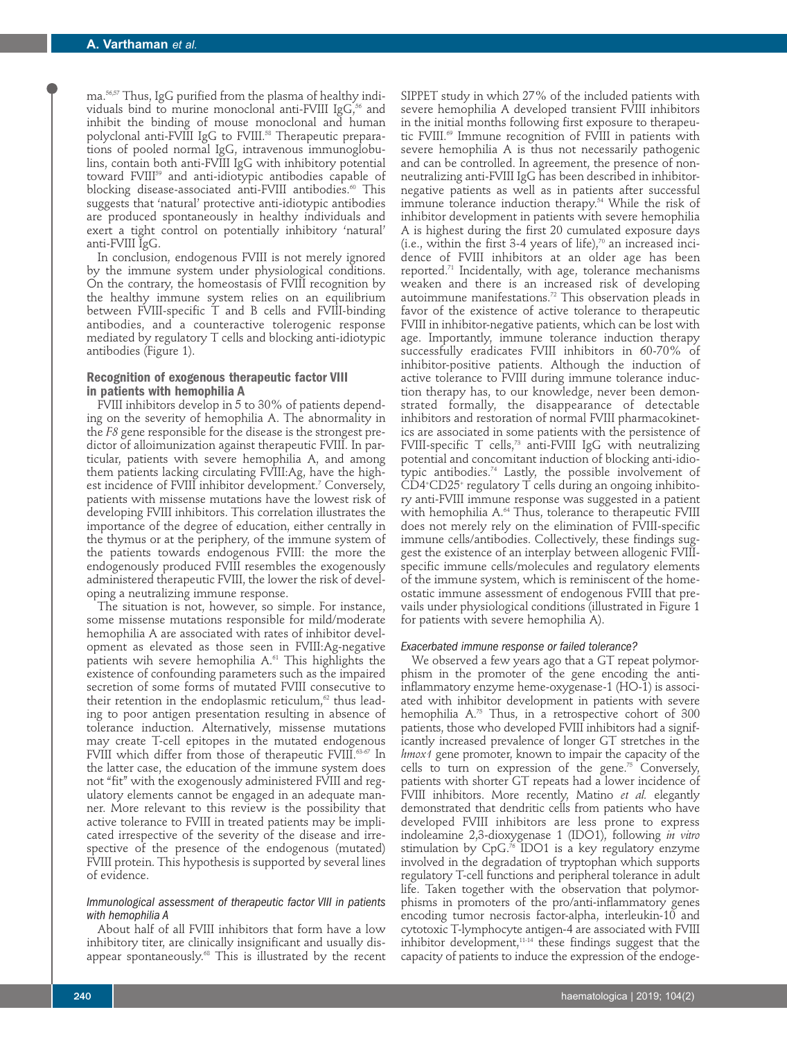ma.56,57 Thus, IgG purified from the plasma of healthy individuals bind to murine monoclonal anti-FVIII Ig $G<sub>1</sub>$ <sup>56</sup> and inhibit the binding of mouse monoclonal and human polyclonal anti-FVIII IgG to FVIII.<sup>58</sup> Therapeutic preparations of pooled normal IgG, intravenous immunoglobulins, contain both anti-FVIII IgG with inhibitory potential toward FVIII59 and anti-idiotypic antibodies capable of blocking disease-associated anti-FVIII antibodies.<sup>60</sup> This suggests that 'natural' protective anti-idiotypic antibodies are produced spontaneously in healthy individuals and exert a tight control on potentially inhibitory 'natural' anti-FVIII IgG.

In conclusion, endogenous FVIII is not merely ignored by the immune system under physiological conditions. On the contrary, the homeostasis of FVIII recognition by the healthy immune system relies on an equilibrium between FVIII-specific T and B cells and FVIII-binding antibodies, and a counteractive tolerogenic response mediated by regulatory T cells and blocking anti-idiotypic antibodies (Figure 1).

## **Recognition of exogenous therapeutic factor VIII in patients with hemophilia A**

FVIII inhibitors develop in 5 to 30% of patients depending on the severity of hemophilia A. The abnormality in the *F8* gene responsible for the disease is the strongest predictor of alloimunization against therapeutic FVIII. In particular, patients with severe hemophilia A, and among them patients lacking circulating FVIII:Ag, have the highest incidence of FVIII inhibitor development.<sup>7</sup> Conversely, patients with missense mutations have the lowest risk of developing FVIII inhibitors. This correlation illustrates the importance of the degree of education, either centrally in the thymus or at the periphery, of the immune system of the patients towards endogenous FVIII: the more the endogenously produced FVIII resembles the exogenously administered therapeutic FVIII, the lower the risk of developing a neutralizing immune response.

The situation is not, however, so simple. For instance, some missense mutations responsible for mild/moderate hemophilia A are associated with rates of inhibitor development as elevated as those seen in FVIII:Ag-negative patients wih severe hemophilia A.<sup>61</sup> This highlights the existence of confounding parameters such as the impaired secretion of some forms of mutated FVIII consecutive to their retention in the endoplasmic reticulum, $\alpha$  thus leading to poor antigen presentation resulting in absence of tolerance induction. Alternatively, missense mutations may create T-cell epitopes in the mutated endogenous FVIII which differ from those of therapeutic FVIII.<sup>63-67</sup> In the latter case, the education of the immune system does not "fit" with the exogenously administered FVIII and regulatory elements cannot be engaged in an adequate manner. More relevant to this review is the possibility that active tolerance to FVIII in treated patients may be implicated irrespective of the severity of the disease and irrespective of the presence of the endogenous (mutated) FVIII protein. This hypothesis is supported by several lines of evidence.

#### *Immunological assessment of therapeutic factor VIII in patients with hemophilia A*

About half of all FVIII inhibitors that form have a low inhibitory titer, are clinically insignificant and usually disappear spontaneously.<sup>68</sup> This is illustrated by the recent SIPPET study in which 27% of the included patients with severe hemophilia A developed transient FVIII inhibitors in the initial months following first exposure to therapeutic FVIII.<sup>69</sup> Immune recognition of FVIII in patients with severe hemophilia A is thus not necessarily pathogenic and can be controlled. In agreement, the presence of nonneutralizing anti-FVIII IgG has been described in inhibitornegative patients as well as in patients after successful immune tolerance induction therapy.54 While the risk of inhibitor development in patients with severe hemophilia A is highest during the first 20 cumulated exposure days  $(i.e., within the first 3-4 years of life),<sup>70</sup> an increased inci$ dence of FVIII inhibitors at an older age has been reported.71 Incidentally, with age, tolerance mechanisms weaken and there is an increased risk of developing autoimmune manifestations.<sup>72</sup> This observation pleads in favor of the existence of active tolerance to therapeutic FVIII in inhibitor-negative patients, which can be lost with age. Importantly, immune tolerance induction therapy successfully eradicates FVIII inhibitors in 60-70% of inhibitor-positive patients. Although the induction of active tolerance to FVIII during immune tolerance induction therapy has, to our knowledge, never been demonstrated formally, the disappearance of detectable inhibitors and restoration of normal FVIII pharmacokinetics are associated in some patients with the persistence of FVIII-specific T cells,<sup>73</sup> anti-FVIII IgG with neutralizing potential and concomitant induction of blocking anti-idiotypic antibodies.74 Lastly, the possible involvement of CD4+ CD25+ regulatory T cells during an ongoing inhibitory anti-FVIII immune response was suggested in a patient with hemophilia A.<sup>64</sup> Thus, tolerance to therapeutic FVIII does not merely rely on the elimination of FVIII-specific immune cells/antibodies. Collectively, these findings suggest the existence of an interplay between allogenic FVIIIspecific immune cells/molecules and regulatory elements of the immune system, which is reminiscent of the homeostatic immune assessment of endogenous FVIII that prevails under physiological conditions (illustrated in Figure 1 for patients with severe hemophilia A).

### *Exacerbated immune response or failed tolerance?*

We observed a few years ago that a GT repeat polymorphism in the promoter of the gene encoding the antiinflammatory enzyme heme-oxygenase-1 (HO-1) is associated with inhibitor development in patients with severe hemophilia A.75 Thus, in a retrospective cohort of 300 patients, those who developed FVIII inhibitors had a significantly increased prevalence of longer GT stretches in the *hmox1* gene promoter, known to impair the capacity of the cells to turn on expression of the gene.75 Conversely, patients with shorter GT repeats had a lower incidence of FVIII inhibitors. More recently, Matino *et al.* elegantly demonstrated that dendritic cells from patients who have developed FVIII inhibitors are less prone to express indoleamine 2,3-dioxygenase 1 (IDO1), following *in vitro* stimulation by  $CpG<sup>76</sup>$  IDO1 is a key regulatory enzyme involved in the degradation of tryptophan which supports regulatory T-cell functions and peripheral tolerance in adult life. Taken together with the observation that polymorphisms in promoters of the pro/anti-inflammatory genes encoding tumor necrosis factor-alpha, interleukin-10 and cytotoxic T-lymphocyte antigen-4 are associated with FVIII inhibitor development,11-14 these findings suggest that the capacity of patients to induce the expression of the endoge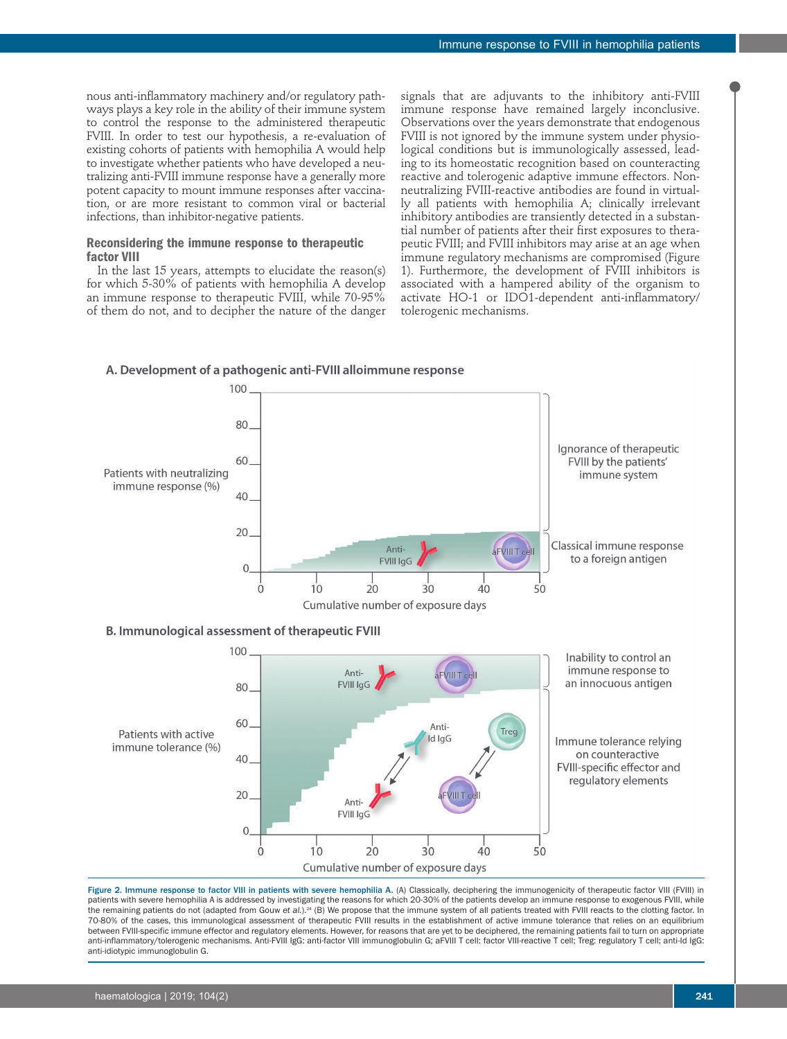nous anti-inflammatory machinery and/or regulatory pathways plays a key role in the ability of their immune system to control the response to the administered therapeutic FVIII. In order to test our hypothesis, a re-evaluation of existing cohorts of patients with hemophilia A would help to investigate whether patients who have developed a neutralizing anti-FVIII immune response have a generally more potent capacity to mount immune responses after vaccination, or are more resistant to common viral or bacterial infections, than inhibitor-negative patients.

## **Reconsidering the immune response to therapeutic factor VIII**

In the last 15 years, attempts to elucidate the reason(s) for which 5-30% of patients with hemophilia A develop an immune response to therapeutic FVIII, while 70-95% of them do not, and to decipher the nature of the danger signals that are adjuvants to the inhibitory anti-FVIII immune response have remained largely inconclusive. Observations over the years demonstrate that endogenous FVIII is not ignored by the immune system under physiological conditions but is immunologically assessed, leading to its homeostatic recognition based on counteracting reactive and tolerogenic adaptive immune effectors. Nonneutralizing FVIII-reactive antibodies are found in virtually all patients with hemophilia A; clinically irrelevant inhibitory antibodies are transiently detected in a substantial number of patients after their first exposures to therapeutic FVIII; and FVIII inhibitors may arise at an age when immune regulatory mechanisms are compromised (Figure 1). Furthermore, the development of FVIII inhibitors is associated with a hampered ability of the organism to activate HO-1 or IDO1-dependent anti-inflammatory/ tolerogenic mechanisms.

## A. Development of a pathogenic anti-FVIII alloimmune response



**B. Immunological assessment of therapeutic FVIII** 



Figure 2. Immune response to factor VIII in patients with severe hemophilia A. (A) Classically, deciphering the immunogenicity of therapeutic factor VIII (FVIII) in patients with severe hemophilia A is addressed by investigating the reasons for which 20-30% of the patients develop an immune response to exogenous FVIII, while the remaining patients do not (adapted from Gouw et al.).<sup>24</sup> (B) We propose that the immune system of all patients treated with FVIII reacts to the clotting factor. In 70-80% of the cases, this immunological assessment of therapeutic FVIII results in the establishment of active immune tolerance that relies on an equilibrium between FVIII-specific immune effector and regulatory elements. However, for reasons that are yet to be deciphered, the remaining patients fail to turn on appropriate anti-inflammatory/tolerogenic mechanisms. Anti-FVIII IgG: anti-factor VIII immunoglobulin G; aFVIII T cell: factor VIII-reactive T cell; Treg: regulatory T cell; anti-Id IgG: anti-idiotypic immunoglobulin G.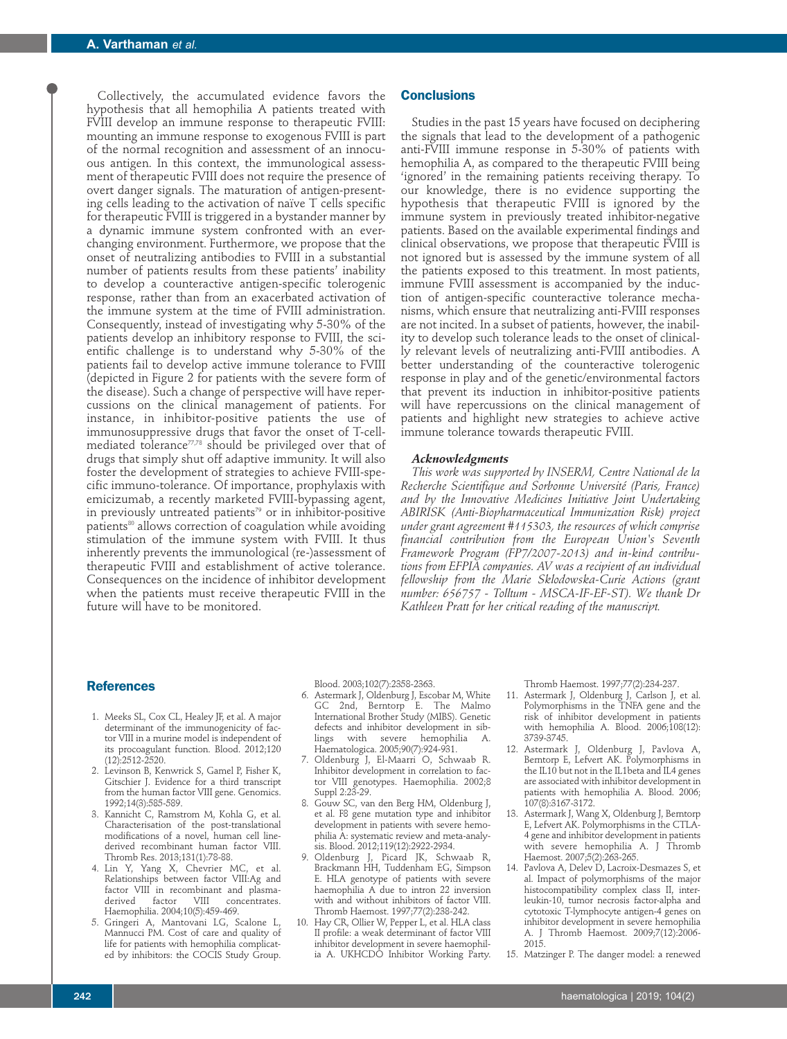Collectively, the accumulated evidence favors the hypothesis that all hemophilia A patients treated with FVIII develop an immune response to therapeutic FVIII: mounting an immune response to exogenous FVIII is part of the normal recognition and assessment of an innocuous antigen. In this context, the immunological assessment of therapeutic FVIII does not require the presence of overt danger signals. The maturation of antigen-presenting cells leading to the activation of naïve T cells specific for therapeutic FVIII is triggered in a bystander manner by a dynamic immune system confronted with an everchanging environment. Furthermore, we propose that the onset of neutralizing antibodies to FVIII in a substantial number of patients results from these patients' inability to develop a counteractive antigen-specific tolerogenic response, rather than from an exacerbated activation of the immune system at the time of FVIII administration. Consequently, instead of investigating why 5-30% of the patients develop an inhibitory response to FVIII, the scientific challenge is to understand why 5-30% of the patients fail to develop active immune tolerance to FVIII (depicted in Figure 2 for patients with the severe form of the disease). Such a change of perspective will have repercussions on the clinical management of patients. For instance, in inhibitor-positive patients the use of immunosuppressive drugs that favor the onset of T-cellmediated tolerance<sup>77,78</sup> should be privileged over that of drugs that simply shut off adaptive immunity. It will also foster the development of strategies to achieve FVIII-specific immuno-tolerance. Of importance, prophylaxis with emicizumab, a recently marketed FVIII-bypassing agent, in previously untreated patients<sup>79</sup> or in inhibitor-positive patients<sup>80</sup> allows correction of coagulation while avoiding stimulation of the immune system with FVIII. It thus inherently prevents the immunological (re-)assessment of therapeutic FVIII and establishment of active tolerance. Consequences on the incidence of inhibitor development when the patients must receive therapeutic FVIII in the future will have to be monitored.

#### **Conclusions**

Studies in the past 15 years have focused on deciphering the signals that lead to the development of a pathogenic anti-FVIII immune response in 5-30% of patients with hemophilia A, as compared to the therapeutic FVIII being 'ignored' in the remaining patients receiving therapy. To our knowledge, there is no evidence supporting the hypothesis that therapeutic FVIII is ignored by the immune system in previously treated inhibitor-negative patients. Based on the available experimental findings and clinical observations, we propose that therapeutic FVIII is not ignored but is assessed by the immune system of all the patients exposed to this treatment. In most patients, immune FVIII assessment is accompanied by the induction of antigen-specific counteractive tolerance mechanisms, which ensure that neutralizing anti-FVIII responses are not incited. In a subset of patients, however, the inability to develop such tolerance leads to the onset of clinically relevant levels of neutralizing anti-FVIII antibodies. A better understanding of the counteractive tolerogenic response in play and of the genetic/environmental factors that prevent its induction in inhibitor-positive patients will have repercussions on the clinical management of patients and highlight new strategies to achieve active immune tolerance towards therapeutic FVIII.

#### *Acknowledgments*

*This work was supported by INSERM, Centre National de la Recherche Scientifique and Sorbonne Université (Paris, France) and by the Innovative Medicines Initiative Joint Undertaking ABIRISK (Anti-Biopharmaceutical Immunization Risk) project under grant agreement #115303, the resources of which comprise financial contribution from the European Union's Seventh Framework Program (FP7/2007-2013) and in-kind contributions from EFPIA companies. AV was a recipient of an individual fellowship from the Marie Sklodowska-Curie Actions (grant number: 656757 - Tolltum - MSCA-IF-EF-ST). We thank Dr Kathleen Pratt for her critical reading of the manuscript.* 

#### **References**

- 1. Meeks SL, Cox CL, Healey JF, et al. A major determinant of the immunogenicity of factor VIII in a murine model is independent of its procoagulant function. Blood. 2012;120 (12):2512-2520.
- 2. Levinson B, Kenwrick S, Gamel P, Fisher K, Gitschier J. Evidence for a third transcript from the human factor VIII gene. Genomics. 1992;14(3):585-589.
- 3. Kannicht C, Ramstrom M, Kohla G, et al. Characterisation of the post-translational modifications of a novel, human cell linederived recombinant human factor VIII. Thromb Res. 2013;131(1):78-88.
- 4. Lin Y, Yang X, Chevrier MC, et al. Relationships between factor VIII:Ag and factor VIII<sup>'</sup> in recombinant and plasma-<br>derived factor VIII concentrates. derived factor VIII concentrates. Haemophilia. 2004;10(5):459-469.
- 5. Gringeri A, Mantovani LG, Scalone L, Mannucci PM. Cost of care and quality of life for patients with hemophilia complicated by inhibitors: the COCIS Study Group.

Blood. 2003;102(7):2358-2363.

- 6. Astermark J, Oldenburg J, Escobar M, White GC 2nd, Berntorp E. The Malmo International Brother Study (MIBS). Genetic defects and inhibitor development in siblings with severe hemophilia A. Haematologica. 2005;90(7):924-931.
- 7. Oldenburg J, El-Maarri O, Schwaab R. Inhibitor development in correlation to factor VIII genotypes. Haemophilia. 2002;8 Suppl 2:23-29.
- 8. Gouw SC, van den Berg HM, Oldenburg J, et al. F8 gene mutation type and inhibitor development in patients with severe hemophilia A: systematic review and meta-analysis. Blood. 2012;119(12):2922-2934.
- 9. Oldenburg J, Picard JK, Schwaab R, Brackmann HH, Tuddenham EG, Simpson E. HLA genotype of patients with severe haemophilia A due to intron 22 inversion with and without inhibitors of factor VIII. Thromb Haemost. 1997;77(2):238-242.
- 10. Hay CR, Ollier W, Pepper L, et al. HLA class II profile: a weak determinant of factor VIII inhibitor development in severe haemophilia A. UKHCDO Inhibitor Working Party.

Thromb Haemost. 1997;77(2):234-237.

- 11. Astermark J, Oldenburg J, Carlson J, et al. Polymorphisms in the TNFA gene and the risk of inhibitor development in patients with hemophilia A. Blood. 2006;108(12): 3739-3745.
- 12. Astermark J, Oldenburg J, Pavlova A, Berntorp E, Lefvert AK. Polymorphisms in the IL10 but not in the IL1beta and IL4 genes are associated with inhibitor development in patients with hemophilia A. Blood. 2006; 107(8):3167-3172.
- 13. Astermark J, Wang X, Oldenburg J, Berntorp E, Lefvert AK. Polymorphisms in the CTLA-4 gene and inhibitor development in patients with severe hemophilia A. J Thromb Haemost. 2007;5(2):263-265.
- 14. Pavlova A, Delev D, Lacroix-Desmazes S, et al. Impact of polymorphisms of the major histocompatibility complex class II, interleukin-10, tumor necrosis factor-alpha and cytotoxic T-lymphocyte antigen-4 genes on inhibitor development in severe hemophilia A. J Thromb Haemost. 2009;7(12):2006- 2015.
- 15. Matzinger P. The danger model: a renewed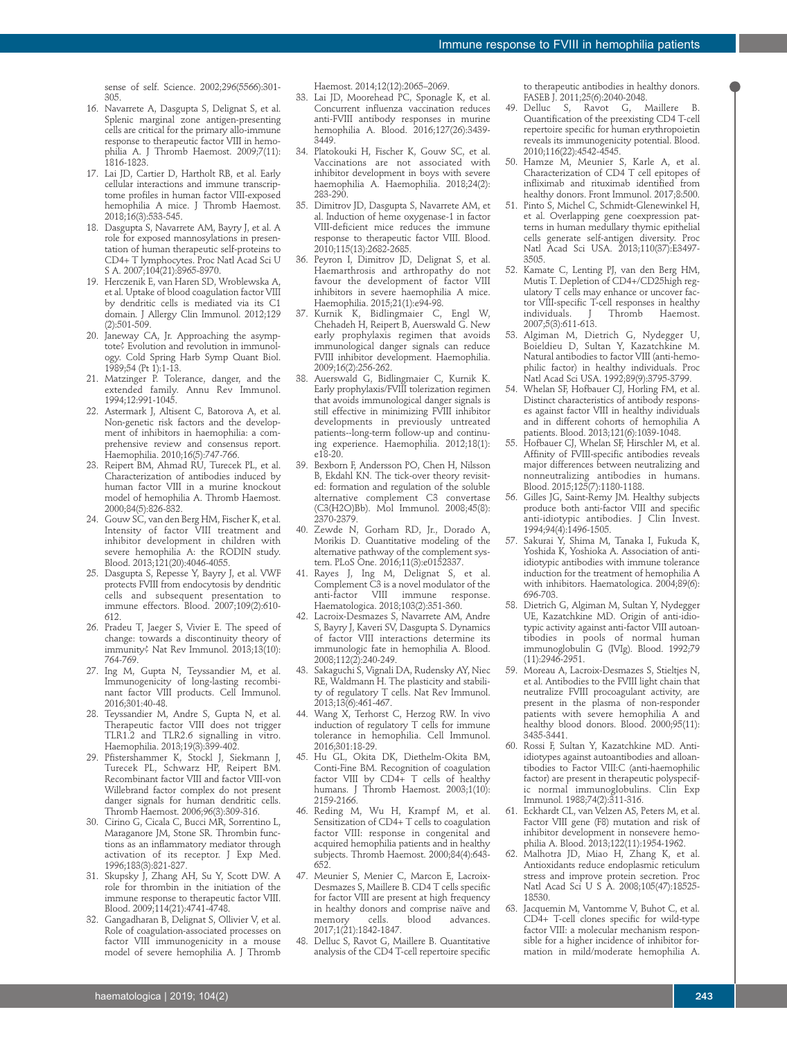sense of self. Science. 2002;296(5566):301- 305.

- 16. Navarrete A, Dasgupta S, Delignat S, et al. Splenic marginal zone antigen-presenting cells are critical for the primary allo-immune response to therapeutic factor VIII in hemophilia A. J Thromb Haemost. 2009;7(11): 1816-1823.
- 17. Lai JD, Cartier D, Hartholt RB, et al. Early cellular interactions and immune transcriptome profiles in human factor VIII-exposed hemophilia A mice. J Thromb Haemost. 2018;16(3):533-545.
- 18. Dasgupta S, Navarrete AM, Bayry J, et al. A role for exposed mannosylations in presentation of human therapeutic self-proteins to CD4+ T lymphocytes. Proc Natl Acad Sci U S A. 2007;104(21):8965-8970.
- 19. Herczenik E, van Haren SD, Wroblewska A, et al. Uptake of blood coagulation factor VIII by dendritic cells is mediated via its C1 domain. J Allergy Clin Immunol. 2012;129 (2):501-509.
- 20. Janeway CA, Jr. Approaching the asymptote? Evolution and revolution in immunology. Cold Spring Harb Symp Quant Biol. 1989;54 (Pt 1):1-13.
- 21. Matzinger P. Tolerance, danger, and the extended family. Annu Rev Immunol. 1994;12:991-1045.
- 22. Astermark J, Altisent C, Batorova A, et al. Non-genetic risk factors and the development of inhibitors in haemophilia: a comprehensive review and consensus report. Haemophilia. 2010;16(5):747-766.
- 23. Reipert BM, Ahmad RU, Turecek PL, et al. Characterization of antibodies induced by human factor VIII in a murine knockout model of hemophilia A. Thromb Haemost. 2000;84(5):826-832.
- 24. Gouw SC, van den Berg HM, Fischer K, et al. Intensity of factor VIII treatment and inhibitor development in children with severe hemophilia A: the RODIN study. Blood. 2013;121(20):4046-4055.
- 25. Dasgupta S, Repesse Y, Bayry J, et al. VWF protects FVIII from endocytosis by dendritic cells and subsequent presentation to immune effectors. Blood. 2007;109(2):610- 612.
- 26. Pradeu T, Jaeger S, Vivier E. The speed of change: towards a discontinuity theory of immunity? Nat Rev Immunol. 2013;13(10): 764-769.
- 27. Ing M, Gupta N, Teyssandier M, et al. Immunogenicity of long-lasting recombinant factor VIII products. Cell Immunol. 2016;301:40-48.
- 28. Teyssandier M, Andre S, Gupta N, et al. Therapeutic factor VIII does not trigger TLR1.2 and TLR2.6 signalling in vitro. Haemophilia. 2013;19(3):399-402.
- 29. Pfistershammer K, Stockl J, Siekmann J, Turecek PL, Schwarz HP, Reipert BM. Recombinant factor VIII and factor VIII-von Willebrand factor complex do not present danger signals for human dendritic cells. Thromb Haemost. 2006;96(3):309-316.
- 30. Cirino G, Cicala C, Bucci MR, Sorrentino L, Maraganore JM, Stone SR. Thrombin functions as an inflammatory mediator through activation of its receptor. J Exp Med. 1996;183(3):821-827.
- 31. Skupsky J, Zhang AH, Su Y, Scott DW. A role for thrombin in the initiation of the immune response to therapeutic factor VIII. Blood. 2009;114(21):4741-4748.
- 32. Gangadharan B, Delignat S, Ollivier V, et al. Role of coagulation-associated processes on factor VIII immunogenicity in a mouse model of severe hemophilia A. J Thromb

Haemost. 2014;12(12):2065–2069.

- 33. Lai JD, Moorehead PC, Sponagle K, et al. Concurrent influenza vaccination reduces anti-FVIII antibody responses in murine hemophilia A. Blood. 2016;127(26):3439- 3449.
- 34. Platokouki H, Fischer K, Gouw SC, et al. Vaccinations are not associated with inhibitor development in boys with severe haemophilia A. Haemophilia. 2018;24(2): 283-290.
- 35. Dimitrov JD, Dasgupta S, Navarrete AM, et al. Induction of heme oxygenase-1 in factor VIII-deficient mice reduces the immune response to therapeutic factor VIII. Blood. 2010;115(13):2682-2685.
- 36. Peyron I, Dimitrov JD, Delignat S, et al. Haemarthrosis and arthropathy do not favour the development of factor VIII inhibitors in severe haemophilia A mice. Haemophilia. 2015;21(1):e94-98.
- 37. Kurnik K, Bidlingmaier C, Engl W, Chehadeh H, Reipert B, Auerswald G. New early prophylaxis regimen that avoids immunological danger signals can reduce FVIII inhibitor development. Haemophilia. 2009;16(2):256-262.
- 38. Auerswald G, Bidlingmaier C, Kurnik K. Early prophylaxis/FVIII tolerization regimen that avoids immunological danger signals is still effective in minimizing FVIII inhibitor developments in previously untreated patients--long-term follow-up and continuing experience. Haemophilia. 2012;18(1): e18-20.
- 39. Bexborn F, Andersson PO, Chen H, Nilsson B, Ekdahl KN. The tick-over theory revisited: formation and regulation of the soluble alternative complement C3 convertase (C3(H2O)Bb). Mol Immunol. 2008;45(8): 2370-2379.
- 40. Zewde N, Gorham RD, Jr., Dorado A, Morikis D. Quantitative modeling of the alternative pathway of the complement system. PLoS One. 2016;11(3):e0152337.
- 41. Rayes J, Ing M, Delignat S, et al. Complement C3 is a novel modulator of the<br>anti-factor VIII immune response. VIII immune Haematologica. 2018;103(2):351-360.
- 42. Lacroix-Desmazes S, Navarrete AM, Andre S, Bayry J, Kaveri SV, Dasgupta S. Dynamics of factor VIII interactions determine its immunologic fate in hemophilia A. Blood. 2008;112(2):240-249.
- 43. Sakaguchi S, Vignali DA, Rudensky AY, Niec RE, Waldmann H. The plasticity and stability of regulatory T cells. Nat Rev Immunol. 2013;13(6):461-467.
- 44. Wang X, Terhorst C, Herzog RW. In vivo induction of regulatory T cells for immune tolerance in hemophilia. Cell Immunol. 2016;301:18-29.
- 45. Hu GL, Okita DK, Diethelm-Okita BM, Conti-Fine BM. Recognition of coagulation factor VIII by CD4+ T cells of healthy humans. J Thromb Haemost. 2003;1(10): 2159-2166.
- 46. Reding M, Wu H, Krampf M, et al. Sensitization of CD4+ T cells to coagulation factor VIII: response in congenital and acquired hemophilia patients and in healthy subjects. Thromb Haemost. 2000;84(4):643- 652.
- 47. Meunier S, Menier C, Marcon E, Lacroix-Desmazes S, Maillere B. CD4 T cells specific for factor VIII are present at high frequency in healthy donors and comprise naïve and memory cells. blood advances. 2017;1(21):1842-1847.
- 48. Delluc S, Ravot G, Maillere B. Quantitative analysis of the CD4 T-cell repertoire specific

to therapeutic antibodies in healthy donors. FASEB J. 2011;25(6):2040-2048.

- 49. Delluc S, Ravot G, Maillere B. Quantification of the preexisting CD4 T-cell repertoire specific for human erythropoietin reveals its immunogenicity potential. Blood. 2010;116(22):4542-4545.
- 50. Hamze M, Meunier S, Karle A, et al. Characterization of CD4 T cell epitopes of infliximab and rituximab identified from healthy donors. Front Immunol. 2017;8:500.
- 51. Pinto S, Michel C, Schmidt-Glenewinkel H, et al. Overlapping gene coexpression patterns in human medullary thymic epithelial cells generate self-antigen diversity. Proc Natl Acad Sci USA. 2013;110(37):E3497- 3505.
- 52. Kamate C, Lenting PJ, van den Berg HM, Mutis T. Depletion of CD4+/CD25high regulatory T cells may enhance or uncover factor VIII-specific T-cell responses in healthy<br>individuals. J Thromb Haemost. J Thromb Haemost. 2007;5(3):611-613.
- 53. Algiman M, Dietrich G, Nydegger U, Boieldieu D, Sultan Y, Kazatchkine M. Natural antibodies to factor VIII (anti-hemophilic factor) in healthy individuals. Proc Natl Acad Sci USA. 1992;89(9):3795-3799.
- 54. Whelan SF, Hofbauer CJ, Horling FM, et al. Distinct characteristics of antibody responses against factor VIII in healthy individuals and in different cohorts of hemophilia A patients. Blood. 2013;121(6):1039-1048.
- 55. Hofbauer CJ, Whelan SF, Hirschler M, et al. Affinity of FVIII-specific antibodies reveals major differences between neutralizing and nonneutralizing antibodies in humans. Blood. 2015;125(7):1180-1188.
- 56. Gilles JG, Saint-Remy JM. Healthy subjects produce both anti-factor VIII and specific anti-idiotypic antibodies. J Clin Invest. 1994;94(4):1496-1505.
- 57. Sakurai Y, Shima M, Tanaka I, Fukuda K, Yoshida K, Yoshioka A. Association of antiidiotypic antibodies with immune tolerance induction for the treatment of hemophilia A with inhibitors. Haematologica. 2004;89(6): 696-703.
- 58. Dietrich G, Algiman M, Sultan Y, Nydegger UE, Kazatchkine MD. Origin of anti-idiotypic activity against anti-factor VIII autoantibodies in pools of normal human immunoglobulin G (IVIg). Blood. 1992;79 (11):2946-2951.
- 59. Moreau A, Lacroix-Desmazes S, Stieltjes N, et al. Antibodies to the FVIII light chain that neutralize FVIII procoagulant activity, are present in the plasma of non-responder patients with severe hemophilia A and healthy blood donors. Blood. 2000;95(11): 3435-3441.
- 60. Rossi F, Sultan Y, Kazatchkine MD. Antiidiotypes against autoantibodies and alloantibodies to Factor VIII:C (anti-haemophilic factor) are present in therapeutic polyspecific normal immunoglobulins. Clin Exp Immunol. 1988;74(2):311-316.
- 61. Eckhardt CL, van Velzen AS, Peters M, et al. Factor VIII gene (F8) mutation and risk of inhibitor development in nonsevere hemophilia A. Blood. 2013;122(11):1954-1962.
- 62. Malhotra JD, Miao H, Zhang K, et al. Antioxidants reduce endoplasmic reticulum stress and improve protein secretion. Proc Natl Acad Sci U S A. 2008;105(47):18525- 18530.
- 63. Jacquemin M, Vantomme V, Buhot C, et al. CD4+ T-cell clones specific for wild-type factor VIII: a molecular mechanism responsible for a higher incidence of inhibitor formation in mild/moderate hemophilia A.